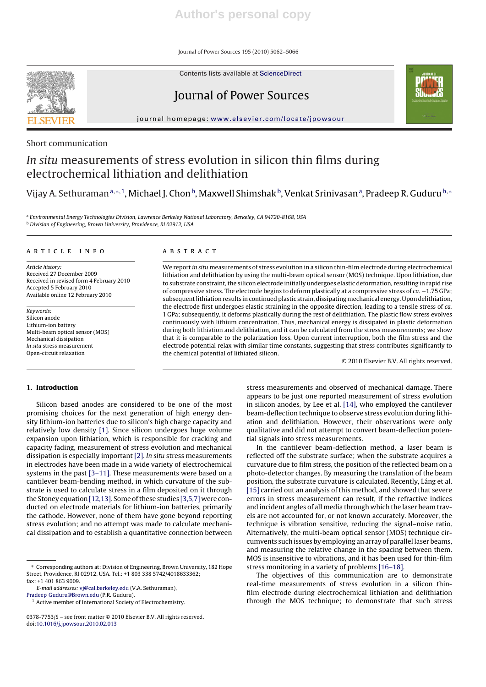Journal of Power Sources 195 (2010) 5062–5066

Contents lists available at ScienceDirect



Journal of Power Sources



journal homepage: www.elsevier.com/locate/jpowsour

# Short communication

# In situ measurements of stress evolution in silicon thin films during electrochemical lithiation and delithiation

Vijay A. Sethuraman<sup>a,</sup>∗,<sup>1</sup>, Michael J. Chon<sup>b</sup>, Maxwell Shimshak<sup>b</sup>, Venkat Srinivasanª, Pradeep R. Guduru<sup>b,</sup>\*

a Environmental Energy Technologies Division, Lawrence Berkeley National Laboratory, Berkeley, CA 94720-8168, USA <sup>b</sup> Division of Engineering, Brown University, Providence, RI 02912, USA

#### article info

Article history: Received 27 December 2009 Received in revised form 4 February 2010 Accepted 5 February 2010 Available online 12 February 2010

Keywords: Silicon anode Lithium-ion battery Multi-beam optical sensor (MOS) Mechanical dissipation In situ stress measurement Open-circuit relaxation

#### **ABSTRACT**

We report in situ measurements of stress evolution in a silicon thin-film electrode during electrochemical lithiation and delithiation by using the multi-beam optical sensor (MOS) technique. Upon lithiation, due to substrate constraint, the silicon electrode initially undergoes elastic deformation, resulting in rapid rise of compressive stress. The electrode begins to deform plastically at a compressive stress of ca. −1.75 GPa; subsequent lithiation results in continued plastic strain, dissipatingmechanical energy. Upon delithiation, the electrode first undergoes elastic straining in the opposite direction, leading to a tensile stress of ca. 1 GPa; subsequently, it deforms plastically during the rest of delithiation. The plastic flow stress evolves continuously with lithium concentration. Thus, mechanical energy is dissipated in plastic deformation during both lithiation and delithiation, and it can be calculated from the stress measurements; we show that it is comparable to the polarization loss. Upon current interruption, both the film stress and the electrode potential relax with similar time constants, suggesting that stress contributes significantly to the chemical potential of lithiated silicon.

© 2010 Elsevier B.V. All rights reserved.

# **1. Introduction**

Silicon based anodes are considered to be one of the most promising choices for the next generation of high energy density lithium-ion batteries due to silicon's high charge capacity and relatively low density [1]. Since silicon undergoes huge volume expansion upon lithiation, which is responsible for cracking and capacity fading, measurement of stress evolution and mechanical dissipation is especially important [2]. In situ stress measurements in electrodes have been made in a wide variety of electrochemical systems in the past [3–11]. These measurements were based on a cantilever beam-bending method, in which curvature of the substrate is used to calculate stress in a film deposited on it through the Stoney equation [12,13]. Some of these studies [3,5,7] were conducted on electrode materials for lithium-ion batteries, primarily the cathode. However, none of them have gone beyond reporting stress evolution; and no attempt was made to calculate mechanical dissipation and to establish a quantitative connection between

E-mail addresses: vj@cal.berkeley.edu (V.A. Sethuraman),

Pradeep Guduru@Brown.edu (P.R. Guduru).

stress measurements and observed of mechanical damage. There appears to be just one reported measurement of stress evolution in silicon anodes, by Lee et al. [14], who employed the cantilever beam-deflection technique to observe stress evolution during lithiation and delithiation. However, their observations were only qualitative and did not attempt to convert beam-deflection potential signals into stress measurements.

In the cantilever beam-deflection method, a laser beam is reflected off the substrate surface; when the substrate acquires a curvature due to film stress, the position of the reflected beam on a photo-detector changes. By measuring the translation of the beam position, the substrate curvature is calculated. Recently, Láng et al. [15] carried out an analysis of this method, and showed that severe errors in stress measurement can result, if the refractive indices and incident angles of all media through which the laser beam travels are not accounted for, or not known accurately. Moreover, the technique is vibration sensitive, reducing the signal–noise ratio. Alternatively, the multi-beam optical sensor (MOS) technique circumvents such issues by employing an array of parallel laser beams, and measuring the relative change in the spacing between them. MOS is insensitive to vibrations, and it has been used for thin-film stress monitoring in a variety of problems [16–18].

The objectives of this communication are to demonstrate real-time measurements of stress evolution in a silicon thinfilm electrode during electrochemical lithiation and delithiation through the MOS technique; to demonstrate that such stress

<sup>∗</sup> Corresponding authors at: Division of Engineering, Brown University, 182 Hope Street, Providence, RI 02912, USA. Tel.: +1 803 338 5742/4018633362; fax: +1 401 863 9009.

<sup>&</sup>lt;sup>1</sup> Active member of International Society of Electrochemistry.

<sup>0378-7753/\$ –</sup> see front matter © 2010 Elsevier B.V. All rights reserved. doi:10.1016/j.jpowsour.2010.02.013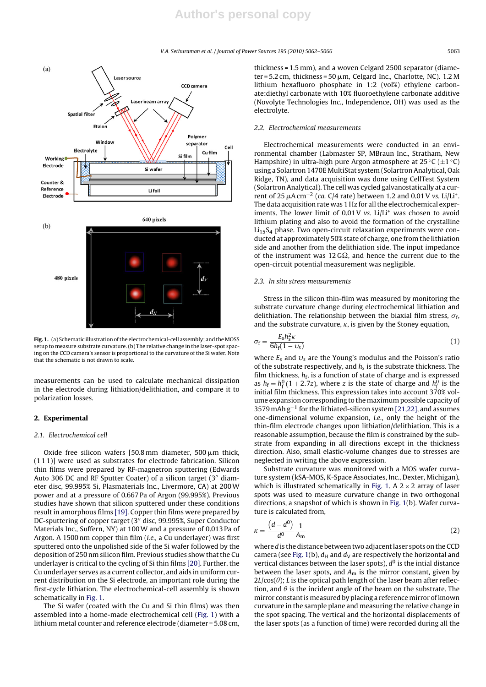V.A. Sethuraman et al. / Journal of Power Sources *195 (2010) 5062–5066* 5063



**Fig. 1.** (a) Schematic illustration of the electrochemical-cell assembly; and theMOSS setup to measure substrate curvature. (b) The relative change in the laser-spot spacing on the CCD camera's sensor is proportional to the curvature of the Si wafer. Note that the schematic is not drawn to scale.

measurements can be used to calculate mechanical dissipation in the electrode during lithiation/delithiation, and compare it to polarization losses.

## **2. Experimental**

# 2.1. Electrochemical cell

Oxide free silicon wafers  $[50.8 \text{ mm}$  diameter,  $500 \mu \text{m}$  thick, (1 1 1)] were used as substrates for electrode fabrication. Silicon thin films were prepared by RF-magnetron sputtering (Edwards Auto 306 DC and RF Sputter Coater) of a silicon target (3" diameter disc, 99.995% Si, Plasmaterials Inc., Livermore, CA) at 200W power and at a pressure of 0.667 Pa of Argon (99.995%). Previous studies have shown that silicon sputtered under these conditions result in amorphous films [19]. Copper thin films were prepared by DC-sputtering of copper target (3" disc, 99.995%, Super Conductor Materials Inc., Suffern, NY) at 100W and a pressure of 0.013 Pa of Argon. A 1500 nm copper thin film (i.e., a Cu underlayer) was first sputtered onto the unpolished side of the Si wafer followed by the deposition of 250 nm silicon film. Previous studies show that the Cu underlayer is critical to the cycling of Si thin films [20]. Further, the Cu underlayer serves as a current collector, and aids in uniform current distribution on the Si electrode, an important role during the first-cycle lithiation. The electrochemical-cell assembly is shown schematically in Fig. 1.

The Si wafer (coated with the Cu and Si thin films) was then assembled into a home-made electrochemical cell (Fig. 1) with a lithium metal counter and reference electrode (diameter = 5.08 cm, thickness = 1.5 mm), and a woven Celgard 2500 separator (diameter = 5.2 cm, thickness = 50  $\mu$ m, Celgard Inc., Charlotte, NC). 1.2 M lithium hexafluoro phosphate in 1:2 (vol%) ethylene carbonate:diethyl carbonate with 10% fluoroethylene carbonate additive (Novolyte Technologies Inc., Independence, OH) was used as the electrolyte.

#### 2.2. Electrochemical measurements

Electrochemical measurements were conducted in an environmental chamber (Labmaster SP, MBraun Inc., Stratham, New Hampshire) in ultra-high pure Argon atmosphere at  $25 \,^{\circ}C (\pm 1 \,^{\circ}C)$ using a Solartron 1470E MultiStat system (Solartron Analytical, Oak Ridge, TN), and data acquisition was done using CellTest System (Solartron Analytical). The cell was cycled galvanostatically at a current of 25  $\mu$ A cm<sup>-2</sup> (ca. C/4 rate) between 1.2 and 0.01 V vs. Li/Li<sup>+</sup>. The data acquisition rate was 1 Hz for all the electrochemical experiments. The lower limit of 0.01 V vs. Li/Li<sup>+</sup> was chosen to avoid lithium plating and also to avoid the formation of the crystalline  $Li<sub>15</sub>S<sub>4</sub>$  phase. Two open-circuit relaxation experiments were conducted at approximately 50% state of charge, one from the lithiation side and another from the delithiation side. The input impedance of the instrument was 12 G $\Omega$ , and hence the current due to the open-circuit potential measurement was negligible.

#### 2.3. In situ stress measurements

Stress in the silicon thin-film was measured by monitoring the substrate curvature change during electrochemical lithiation and delithiation. The relationship between the biaxial film stress,  $\sigma_f$ , and the substrate curvature,  $\kappa$ , is given by the Stoney equation,

$$
\sigma_{\rm f} = \frac{E_{\rm s} h_{\rm s}^2 \kappa}{6h_{\rm f}(1 - \upsilon_{\rm s})} \tag{1}
$$

where  $E_s$  and  $v_s$  are the Young's modulus and the Poisson's ratio of the substrate respectively, and  $h_s$  is the substrate thickness. The film thickness,  $h_f$ , is a function of state of charge and is expressed as  $h_f = h_f^0 (1 + 2.7z)$ , where z is the state of charge and  $h_f^0$  is the initial film thickness. This expression takes into account 370% volume expansion corresponding to the maximum possible capacity of 3579 mAh g<sup>-1</sup> for the lithiated-silicon system [21,22], and assumes one-dimensional volume expansion, i.e., only the height of the thin-film electrode changes upon lithiation/delithiation. This is a reasonable assumption, because the film is constrained by the substrate from expanding in all directions except in the thickness direction. Also, small elastic-volume changes due to stresses are neglected in writing the above expression.

Substrate curvature was monitored with a MOS wafer curvature system (kSA-MOS, K-Space Associates, Inc., Dexter, Michigan), which is illustrated schematically in Fig. 1. A  $2 \times 2$  array of laser spots was used to measure curvature change in two orthogonal directions, a snapshot of which is shown in Fig. 1(b). Wafer curvature is calculated from,

$$
\kappa = \frac{\left(d - d^0\right)}{d^0} \frac{1}{A_m} \tag{2}
$$

where d is the distance between two adjacent laser spots on the CCD camera (see Fig. 1(b),  $d_H$  and  $d_V$  are respectively the horizontal and vertical distances between the laser spots),  $d^0$  is the intial distance between the laser spots, and  $A<sub>m</sub>$  is the mirror constant, given by  $2L/\cos(\theta)$ ; L is the optical path length of the laser beam after reflection, and  $\theta$  is the incident angle of the beam on the substrate. The mirror constant is measured by placing a reference mirror of known curvature in the sample plane and measuring the relative change in the spot spacing. The vertical and the horizontal displacements of the laser spots (as a function of time) were recorded during all the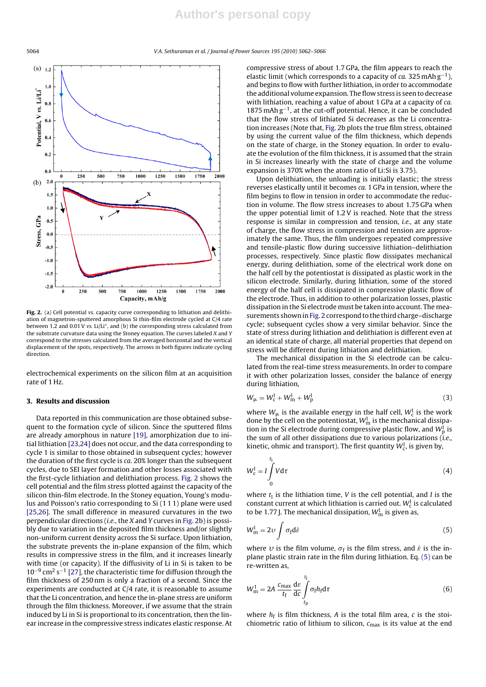5064 V.A. Sethuraman et al. / Journal of Power Sources *195 (2010) 5062–5066*



Fig. 2. (a) Cell potential vs. capacity curve corresponding to lithiation and delithiation of magnetron-sputtered amorphous Si thin-film electrode cycled at C/4 rate between 1.2 and 0.01 V vs. Li/Li<sup>+</sup>, and (b) the corresponding stress calculated from the substrate curvature data using the Stoney equation. The curves labeled X and Y correspond to the stresses calculated from the averaged horizontal and the vertical displacement of the spots, respectively. The arrows in both figures indicate cycling direction.

electrochemical experiments on the silicon film at an acquisition rate of 1 Hz.

## **3. Results and discussion**

Data reported in this communication are those obtained subsequent to the formation cycle of silicon. Since the sputtered films are already amorphous in nature [19], amorphization due to initial lithiation [23,24] does not occur, and the data corresponding to cycle 1 is similar to those obtained in subsequent cycles; however the duration of the first cycle is ca. 20% longer than the subsequent cycles, due to SEI layer formation and other losses associated with the first-cycle lithiation and delithiation process. Fig. 2 shows the cell potential and the film stress plotted against the capacity of the silicon thin-film electrode. In the Stoney equation, Young's modulus and Poisson's ratio corresponding to Si (1 1 1) plane were used [25,26]. The small difference in measured curvatures in the two perpendicular directions (i.e., the X and Y curves in Fig. 2b) is possibly due to variation in the deposited film thickness and/or slightly non-uniform current density across the Si surface. Upon lithiation, the substrate prevents the in-plane expansion of the film, which results in compressive stress in the film, and it increases linearly with time (or capacity). If the diffusivity of Li in Si is taken to be  $10^{-9}$  cm<sup>2</sup> s<sup>-1</sup> [27], the characteristic time for diffusion through the film thickness of 250 nm is only a fraction of a second. Since the experiments are conducted at C/4 rate, it is reasonable to assume that the Li concentration, and hence the in-plane stress are uniform through the film thickness. Moreover, if we assume that the strain induced by Li in Si is proportional to its concentration, then the linear increase in the compressive stress indicates elastic response. At compressive stress of about 1.7 GPa, the film appears to reach the elastic limit (which corresponds to a capacity of  $ca$ . 325 mAh  $g^{-1}$ ), and begins to flow with further lithiation, in order to accommodate the additional volume expansion. The flow stress is seen to decrease with lithiation, reaching a value of about 1 GPa at a capacity of ca. 1875 mAh g−1, at the cut-off potential. Hence, it can be concluded that the flow stress of lithiated Si decreases as the Li concentration increases (Note that, Fig. 2b plots the true film stress, obtained by using the current value of the film thickness, which depends on the state of charge, in the Stoney equation. In order to evaluate the evolution of the film thickness, it is assumed that the strain in Si increases linearly with the state of charge and the volume expansion is 370% when the atom ratio of Li:Si is 3.75).

Upon delithiation, the unloading is initially elastic; the stress reverses elastically until it becomes ca. 1 GPa in tension, where the film begins to flow in tension in order to accommodate the reduction in volume. The flow stress increases to about 1.75 GPa when the upper potential limit of 1.2 V is reached. Note that the stress response is similar in compression and tension, i.e., at any state of charge, the flow stress in compression and tension are approximately the same. Thus, the film undergoes repeated compressive and tensile-plastic flow during successive lithiation–delithiation processes, respectively. Since plastic flow dissipates mechanical energy, during delithiation, some of the electrical work done on the half cell by the potentiostat is dissipated as plastic work in the silicon electrode. Similarly, during lithiation, some of the stored energy of the half cell is dissipated in compressive plastic flow of the electrode. Thus, in addition to other polarization losses, plastic dissipation in the Si electrode must be taken into account. The measurements shown in Fig. 2 correspond to the third charge-discharge cycle; subsequent cycles show a very similar behavior. Since the state of stress during lithiation and delithiation is different even at an identical state of charge, all material properties that depend on stress will be different during lithiation and delithiation.

The mechanical dissipation in the Si electrode can be calculated from the real-time stress measurements. In order to compare it with other polarization losses, consider the balance of energy during lithiation,

$$
W_{\mu} = W_{\rm c}^{\rm l} + W_{\rm m}^{\rm l} + W_{\rm p}^{\rm l} \tag{3}
$$

where  $W_{\mu}$  is the available energy in the half cell,  $W_{\rm c}^{\rm l}$  is the work done by the cell on the potentiostat,  $W_{\mathrm{m}}^{l}$  is the mechanical dissipation in the Si electrode during compressive plastic flow, and  $W^{\text{I}}_{\text{p}}$  is the sum of all other dissipations due to various polarizations  $(i.e.,$ kinetic, ohmic and transport). The first quantity  $W_{\mathrm{c}}^{\mathrm{l}}$ , is given by,

$$
W_{\rm c}^{\rm l} = I \int\limits_0^{t_{\rm l}} V \mathrm{d}\tau \tag{4}
$$

where  $t_1$  is the lithiation time, V is the cell potential, and I is the constant current at which lithiation is carried out.  $W_{\rm c}^{\rm l}$  is calculated to be 1.77 J. The mechanical dissipation,  $W_{\mathrm{m}}^{\mathrm{l}}$  is given as,

$$
W_{\rm m}^{\rm l} = 2\upsilon \int \sigma_{\rm f} d\dot{\varepsilon} \tag{5}
$$

where  $\upsilon$  is the film volume,  $\sigma_f$  is the film stress, and  $\dot{\varepsilon}$  is the inplane plastic strain rate in the film during lithiation. Eq. (5) can be re-written as,

$$
W_{\rm m}^1 = 2A \frac{c_{\rm max}}{t_{\rm f}} \frac{d\varepsilon}{d\varepsilon} \int_{t_{\rm p}}^{t_{\rm l}} \sigma_{\rm f} h_{\rm f} d\tau \tag{6}
$$

where  $h_f$  is film thickness, A is the total film area, c is the stoichiometric ratio of lithium to silicon,  $c_{\text{max}}$  is its value at the end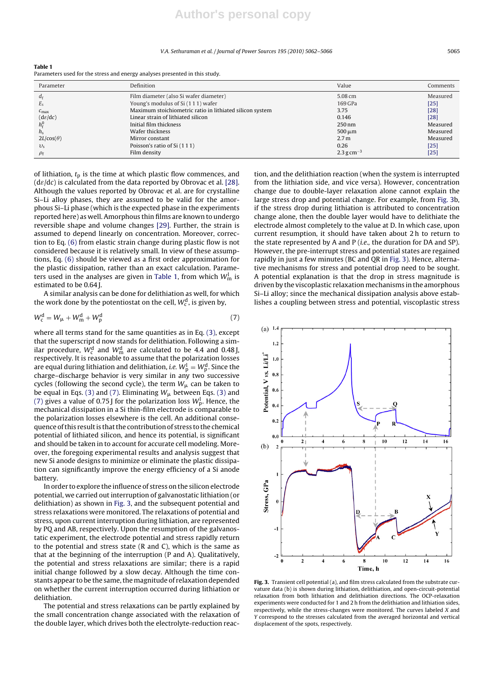#### V.A. Sethuraman et al. / Journal of Power Sources *195 (2010) 5062–5066* 5065

**Table 1** Parameters used for the stress and energy analyses presented in this study.

| Parameter           | Definition                                               | Value            | Comments |
|---------------------|----------------------------------------------------------|------------------|----------|
| $d_{\rm f}$         | Film diameter (also Si wafer diameter)                   | 5.08 cm          | Measured |
| $E_{\rm S}$         | Young's modulus of Si (111) wafer                        | 169 GPa          | $[25]$   |
| $c_{\text{max}}$    | Maximum stoichiometric ratio in lithiated silicon system | 3.75             | $[28]$   |
| $(d\varepsilon/dc)$ | Linear strain of lithiated silicon                       | 0.146            | $[28]$   |
| $h_c^0$             | Initial film thickness                                   | $250 \text{ nm}$ | Measured |
| h <sub>s</sub>      | Wafer thickness                                          | $500 \mu m$      | Measured |
| $2L/\cos(\theta)$   | Mirror constant                                          | 2.7 <sub>m</sub> | Measured |
| $v_{\rm s}$         | Poisson's ratio of Si (111)                              | 0.26             | $[25]$   |
| $\rho_{\rm f}$      | Film density                                             | $2.3 g cm^{-3}$  | $[25]$   |

of lithiation,  $t_p$  is the time at which plastic flow commences, and  $(d\varepsilon/dc)$  is calculated from the data reported by Obrovac et al. [28]. Although the values reported by Obrovac et al. are for crystalline Si–Li alloy phases, they are assumed to be valid for the amorphous Si–Li phase (which is the expected phase in the experiments reported here) as well. Amorphous thin films are known to undergo reversible shape and volume changes [29]. Further, the strain is assumed to depend linearly on concentration. Moreover, correction to Eq. (6) from elastic strain change during plastic flow is not considered because it is relatively small. In view of these assumptions, Eq. (6) should be viewed as a first order approximation for the plastic dissipation, rather than an exact calculation. Parameters used in the analyses are given in Table 1, from which  $W_{\mathrm{m}}^{\mathrm{l}}$  is estimated to be 0.64 J.

A similar analysis can be done for delithiation as well, for which the work done by the potentiostat on the cell,  $W_{\rm c}^{\rm d}$  , is given by,

$$
W_{\rm c}^{\rm d} = W_{\mu} + W_{\rm m}^{\rm d} + W_{\rm p}^{\rm d} \tag{7}
$$

where all terms stand for the same quantities as in Eq. (3), except that the superscript d now stands for delithiation. Following a similar procedure,  $W_{\rm c}^{\rm d}$  and  $W_{\rm m}^{\rm d}$  are calculated to be 4.4 and 0.48 J, respectively. It is reasonable to assume that the polarization losses are equal during lithiation and delithiation, *i.e.*  $W^{\rm l}_{\rm p} = W^{\rm d}_{\rm p}.$  Since the charge–discharge behavior is very similar in any two successive cycles (following the second cycle), the term  $W_\mu$  can be taken to be equal in Eqs. (3) and (7). Eliminating  $W_{\mu}$  between Eqs. (3) and (7) gives a value of 0.75 J for the polarization loss  $W^{\rm l}_{\rm p}.$  Hence, the mechanical dissipation in a Si thin-film electrode is comparable to the polarization losses elsewhere is the cell. An additional consequence of this result is that the contribution of stress to the chemical potential of lithiated silicon, and hence its potential, is significant and should be taken in to account for accurate cell modeling. Moreover, the foregoing experimental results and analysis suggest that new Si anode designs to minimize or eliminate the plastic dissipation can significantly improve the energy efficiency of a Si anode battery.

In order to explore the influence of stress on the silicon electrode potential, we carried out interruption of galvanostatic lithiation (or delithiation) as shown in Fig. 3, and the subsequent potential and stress relaxations were monitored. The relaxations of potential and stress, upon current interruption during lithiation, are represented by PQ and AB, respectively. Upon the resumption of the galvanostatic experiment, the electrode potential and stress rapidly return to the potential and stress state (R and C), which is the same as that at the beginning of the interruption (P and A). Qualitatively, the potential and stress relaxations are similar; there is a rapid initial change followed by a slow decay. Although the time constants appear to be the same, the magnitude of relaxation depended on whether the current interruption occurred during lithiation or delithiation.

The potential and stress relaxations can be partly explained by the small concentration change associated with the relaxation of the double layer, which drives both the electrolyte-reduction reaction, and the delithiation reaction (when the system is interrupted from the lithiation side, and vice versa). However, concentration change due to double-layer relaxation alone cannot explain the large stress drop and potential change. For example, from Fig. 3b, if the stress drop during lithiation is attributed to concentration change alone, then the double layer would have to delithiate the electrode almost completely to the value at D. In which case, upon current resumption, it should have taken about 2 h to return to the state represented by A and P (*i.e.*, the duration for DA and SP). However, the pre-interrupt stress and potential states are regained rapidly in just a few minutes (BC and QR in Fig. 3). Hence, alternative mechanisms for stress and potential drop need to be sought. A potential explanation is that the drop in stress magnitude is driven by the viscoplastic relaxation mechanisms in the amorphous Si–Li alloy; since the mechanical dissipation analysis above establishes a coupling between stress and potential, viscoplastic stress



**Fig. 3.** Transient cell potential (a), and film stress calculated from the substrate curvature data (b) is shown during lithiation, delithiation, and open-circuit-potential relaxation from both lithiation and delithiation directions. The OCP-relaxation experiments were conducted for 1 and 2 h from the delithiation and lithiation sides, respectively, while the stress-changes were monitored. The curves labeled X and Y correspond to the stresses calculated from the averaged horizontal and vertical displacement of the spots, respectively.